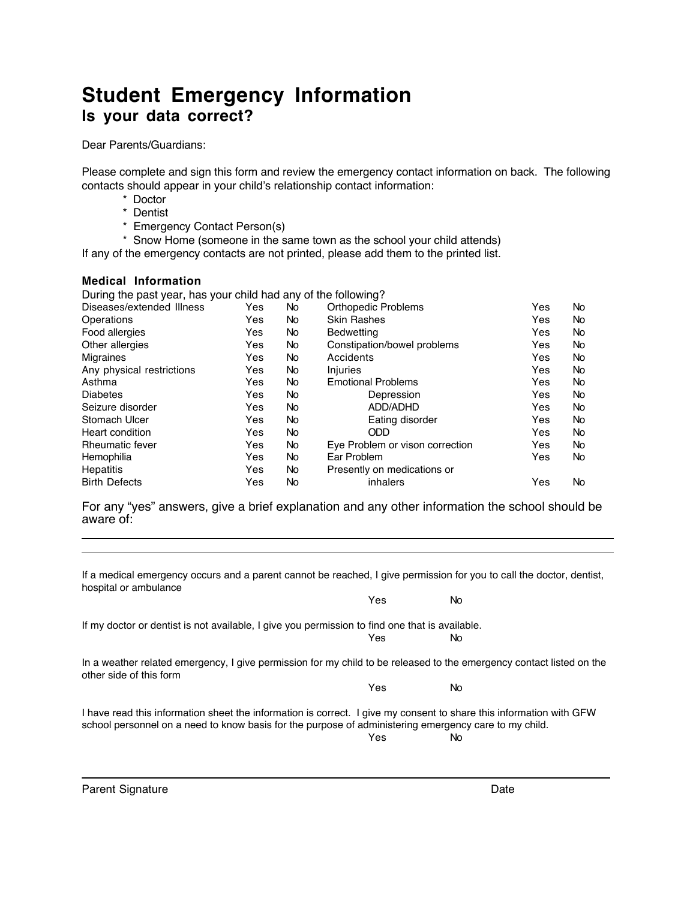## **Student Emergency Information Is your data correct?**

Dear Parents/Guardians:

Please complete and sign this form and review the emergency contact information on back. The following contacts should appear in your child's relationship contact information:

- \* Doctor
- \* Dentist
- \* Emergency Contact Person(s)

\* Snow Home (someone in the same town as the school your child attends)

If any of the emergency contacts are not printed, please add them to the printed list.

## **Medical Information**

During the past year, has your child had any of the following?

| Diseases/extended Illness | Yes | No        | <b>Orthopedic Problems</b>      | Yes | No        |
|---------------------------|-----|-----------|---------------------------------|-----|-----------|
| Operations                | Yes | No        | <b>Skin Rashes</b>              | Yes | No        |
| Food allergies            | Yes | No        | <b>Bedwetting</b>               | Yes | No        |
| Other allergies           | Yes | No        | Constipation/bowel problems     | Yes | <b>No</b> |
| <b>Migraines</b>          | Yes | No        | Accidents                       | Yes | No        |
| Any physical restrictions | Yes | No        | Injuries                        | Yes | <b>No</b> |
| Asthma                    | Yes | <b>No</b> | <b>Emotional Problems</b>       | Yes | No        |
| <b>Diabetes</b>           | Yes | No        | Depression                      | Yes | <b>No</b> |
| Seizure disorder          | Yes | No        | ADD/ADHD                        | Yes | <b>No</b> |
| Stomach Ulcer             | Yes | No        | Eating disorder                 | Yes | <b>No</b> |
| Heart condition           | Yes | No        | ODD                             | Yes | <b>No</b> |
| <b>Rheumatic fever</b>    | Yes | No        | Eye Problem or vison correction | Yes | <b>No</b> |
| Hemophilia                | Yes | No        | Ear Problem                     | Yes | No.       |
| <b>Hepatitis</b>          | Yes | <b>No</b> | Presently on medications or     |     |           |
| <b>Birth Defects</b>      | Yes | No        | inhalers                        | Yes | No        |
|                           |     |           |                                 |     |           |

For any "yes" answers, give a brief explanation and any other information the school should be aware of:  $\overline{a}$ 

| hospital or ambulance                                                                                                                                                                                                        | If a medical emergency occurs and a parent cannot be reached, I give permission for you to call the doctor, dentist, |     |  |  |  |  |
|------------------------------------------------------------------------------------------------------------------------------------------------------------------------------------------------------------------------------|----------------------------------------------------------------------------------------------------------------------|-----|--|--|--|--|
|                                                                                                                                                                                                                              | Yes                                                                                                                  | No. |  |  |  |  |
| If my doctor or dentist is not available, I give you permission to find one that is available.                                                                                                                               |                                                                                                                      |     |  |  |  |  |
|                                                                                                                                                                                                                              | Yes                                                                                                                  | No. |  |  |  |  |
| In a weather related emergency, I give permission for my child to be released to the emergency contact listed on the<br>other side of this form                                                                              |                                                                                                                      |     |  |  |  |  |
|                                                                                                                                                                                                                              | Yes                                                                                                                  | No. |  |  |  |  |
| I have read this information sheet the information is correct. I give my consent to share this information with GFW<br>school personnel on a need to know basis for the purpose of administering emergency care to my child. | Yes                                                                                                                  | No. |  |  |  |  |